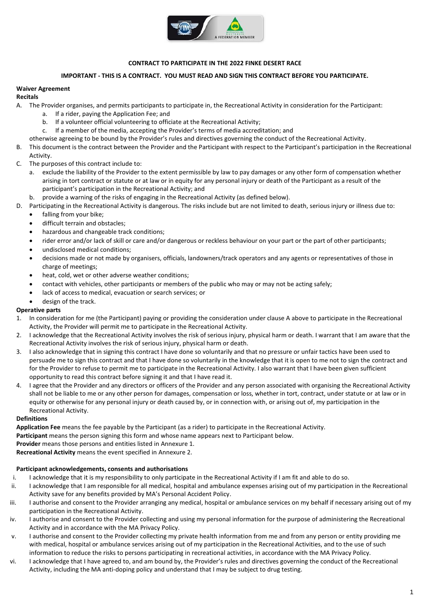

# **CONTRACT TO PARTICIPATE IN THE 2022 FINKE DESERT RACE**

## **IMPORTANT - THIS IS A CONTRACT. YOU MUST READ AND SIGN THIS CONTRACT BEFORE YOU PARTICIPATE.**

## **Waiver Agreement**

### **Recitals**

- A. The Provider organises, and permits participants to participate in, the Recreational Activity in consideration for the Participant:
	- a. If a rider, paying the Application Fee; and
	- b. If a volunteer official volunteering to officiate at the Recreational Activity;
	- c. If a member of the media, accepting the Provider's terms of media accreditation; and
	- otherwise agreeing to be bound by the Provider's rules and directives governing the conduct of the Recreational Activity.
- B. This document is the contract between the Provider and the Participant with respect to the Participant's participation in the Recreational Activity.
- C. The purposes of this contract include to:
	- a. exclude the liability of the Provider to the extent permissible by law to pay damages or any other form of compensation whether arising in tort contract or statute or at law or in equity for any personal injury or death of the Participant as a result of the participant's participation in the Recreational Activity; and
	- b. provide a warning of the risks of engaging in the Recreational Activity (as defined below).
- D. Participating in the Recreational Activity is dangerous. The risks include but are not limited to death, serious injury or illness due to:
	- falling from your bike;
	- difficult terrain and obstacles;
	- hazardous and changeable track conditions;
	- rider error and/or lack of skill or care and/or dangerous or reckless behaviour on your part or the part of other participants;
	- undisclosed medical conditions;
	- decisions made or not made by organisers, officials, landowners/track operators and any agents or representatives of those in charge of meetings;
	- heat, cold, wet or other adverse weather conditions;
	- contact with vehicles, other participants or members of the public who may or may not be acting safely;
	- lack of access to medical, evacuation or search services; or
	- design of the track.

# **Operative parts**

- 1. In consideration for me (the Participant) paying or providing the consideration under clause A above to participate in the Recreational Activity, the Provider will permit me to participate in the Recreational Activity.
- 2. I acknowledge that the Recreational Activity involves the risk of serious injury, physical harm or death. I warrant that I am aware that the Recreational Activity involves the risk of serious injury, physical harm or death.
- 3. I also acknowledge that in signing this contract I have done so voluntarily and that no pressure or unfair tactics have been used to persuade me to sign this contract and that I have done so voluntarily in the knowledge that it is open to me not to sign the contract and for the Provider to refuse to permit me to participate in the Recreational Activity. I also warrant that I have been given sufficient opportunity to read this contract before signing it and that I have read it.
- 4. I agree that the Provider and any directors or officers of the Provider and any person associated with organising the Recreational Activity shall not be liable to me or any other person for damages, compensation or loss, whether in tort, contract, under statute or at law or in equity or otherwise for any personal injury or death caused by, or in connection with, or arising out of, my participation in the Recreational Activity.

### **Definitions**

**Application Fee** means the fee payable by the Participant (as a rider) to participate in the Recreational Activity.

**Participant** means the person signing this form and whose name appears next to Participant below.

**Provider** means those persons and entities listed in Annexure 1.

**Recreational Activity** means the event specified in Annexure 2.

# **Participant acknowledgements, consents and authorisations**

- i. I acknowledge that it is my responsibility to only participate in the Recreational Activity if I am fit and able to do so.
- ii. I acknowledge that I am responsible for all medical, hospital and ambulance expenses arising out of my participation in the Recreational Activity save for any benefits provided by MA's Personal Accident Policy.
- iii. I authorise and consent to the Provider arranging any medical, hospital or ambulance services on my behalf if necessary arising out of my participation in the Recreational Activity.
- iv. I authorise and consent to the Provider collecting and using my personal information for the purpose of administering the Recreational Activity and in accordance with the MA Privacy Policy.
- v. I authorise and consent to the Provider collecting my private health information from me and from any person or entity providing me with medical, hospital or ambulance services arising out of my participation in the Recreational Activities, and to the use of such information to reduce the risks to persons participating in recreational activities, in accordance with the MA Privacy Policy.
- vi. I acknowledge that I have agreed to, and am bound by, the Provider's rules and directives governing the conduct of the Recreational Activity, including the MA anti-doping policy and understand that I may be subject to drug testing.